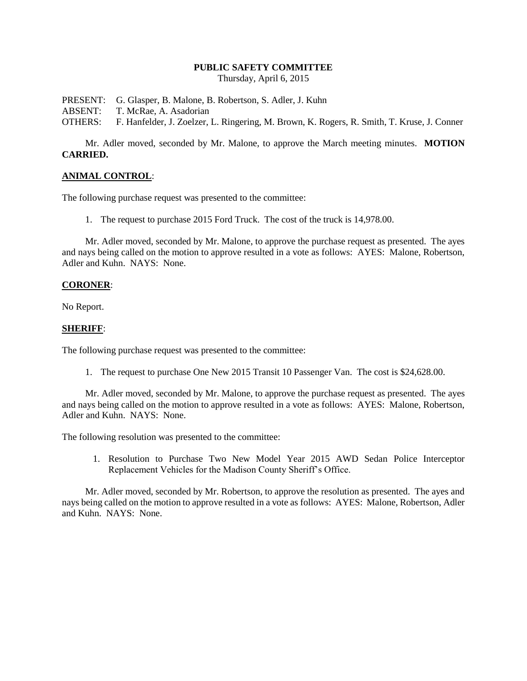#### **PUBLIC SAFETY COMMITTEE**

Thursday, April 6, 2015

PRESENT: G. Glasper, B. Malone, B. Robertson, S. Adler, J. Kuhn

ABSENT: T. McRae, A. Asadorian

OTHERS: F. Hanfelder, J. Zoelzer, L. Ringering, M. Brown, K. Rogers, R. Smith, T. Kruse, J. Conner

Mr. Adler moved, seconded by Mr. Malone, to approve the March meeting minutes. **MOTION CARRIED.**

### **ANIMAL CONTROL**:

The following purchase request was presented to the committee:

1. The request to purchase 2015 Ford Truck. The cost of the truck is 14,978.00.

Mr. Adler moved, seconded by Mr. Malone, to approve the purchase request as presented. The ayes and nays being called on the motion to approve resulted in a vote as follows: AYES: Malone, Robertson, Adler and Kuhn. NAYS: None.

#### **CORONER**:

No Report.

### **SHERIFF**:

The following purchase request was presented to the committee:

1. The request to purchase One New 2015 Transit 10 Passenger Van. The cost is \$24,628.00.

Mr. Adler moved, seconded by Mr. Malone, to approve the purchase request as presented. The ayes and nays being called on the motion to approve resulted in a vote as follows: AYES: Malone, Robertson, Adler and Kuhn. NAYS: None.

The following resolution was presented to the committee:

1. Resolution to Purchase Two New Model Year 2015 AWD Sedan Police Interceptor Replacement Vehicles for the Madison County Sheriff's Office.

Mr. Adler moved, seconded by Mr. Robertson, to approve the resolution as presented. The ayes and nays being called on the motion to approve resulted in a vote as follows: AYES: Malone, Robertson, Adler and Kuhn. NAYS: None.